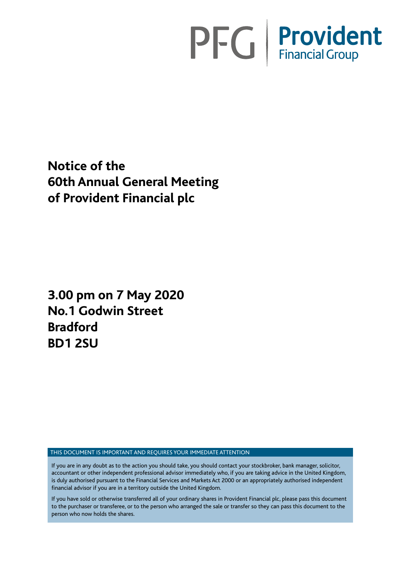

**Notice of the 60th Annual General Meeting of Provident Financial plc**

**3.00 pm on 7 May 2020 No.1 Godwin Street Bradford BD1 2SU**

THIS DOCUMENT IS IMPORTANT AND REQUIRES YOUR IMMEDIATE ATTENTION

 If you are in any doubt as to the action you should take, you should contact your stockbroker, bank manager, solicitor, accountant or other independent professional advisor immediately who, if you are taking advice in the United Kingdom, is duly authorised pursuant to the Financial Services and Markets Act 2000 or an appropriately authorised independent financial advisor if you are in a territory outside the United Kingdom.

 If you have sold or otherwise transferred all of your ordinary shares in Provident Financial plc, please pass this document to the purchaser or transferee, or to the person who arranged the sale or transfer so they can pass this document to the person who now holds the shares.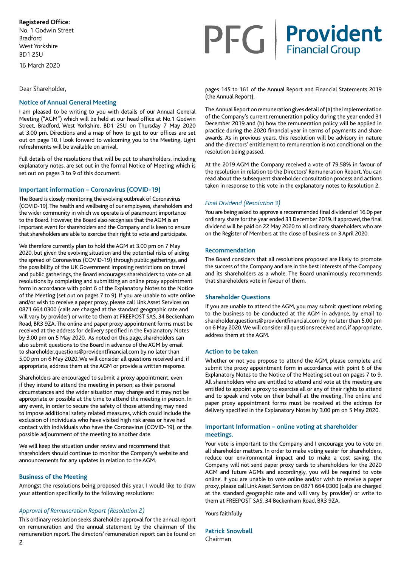# **Registered Office:**

No. 1 Godwin Street Bradford West Yorkshire BD1 2SU

16 March 2020

Dear Shareholder,

## **Notice of Annual General Meeting**

I am pleased to be writing to you with details of our Annual General Meeting ("AGM") which will be held at our head office at No.1 Godwin Street, Bradford, West Yorkshire, BD1 2SU on Thursday 7 May 2020 at 3.00 pm. Directions and a map of how to get to our offices are set out on page 10. I look forward to welcoming you to the Meeting. Light refreshments will be available on arrival.

Full details of the resolutions that will be put to shareholders, including explanatory notes, are set out in the formal Notice of Meeting which is set out on pages 3 to 9 of this document.

# **Important information – Coronavirus (COVID-19)**

The Board is closely monitoring the evolving outbreak of Coronavirus (COVID-19). The health and wellbeing of our employees, shareholders and the wider community in which we operate is of paramount importance to the Board. However, the Board also recognises that the AGM is an important event for shareholders and the Company and is keen to ensure that shareholders are able to exercise their right to vote and participate.

We therefore currently plan to hold the AGM at 3.00 pm on 7 May 2020, but given the evolving situation and the potential risks of aiding the spread of Coronavirus (COVID-19) through public gatherings, and the possibility of the UK Government imposing restrictions on travel and public gatherings, the Board encourages shareholders to vote on all resolutions by completing and submitting an online proxy appointment form in accordance with point 6 of the Explanatory Notes to the Notice of the Meeting (set out on pages 7 to 9). If you are unable to vote online and/or wish to receive a paper proxy, please call Link Asset Services on 0871 664 0300 (calls are charged at the standard geographic rate and will vary by provider) or write to them at FREEPOST SAS, 34 Beckenham Road, BR3 9ZA. The online and paper proxy appointment forms must be received at the address for delivery specified in the Explanatory Notes by 3.00 pm on 5 May 2020. As noted on this page, shareholders can also submit questions to the Board in advance of the AGM by email to shareholder.questions@providentfinancial.com by no later than 5.00 pm on 6 May 2020. We will consider all questions received and, if appropriate, address them at the AGM or provide a written response.

Shareholders are encouraged to submit a proxy appointment, even if they intend to attend the meeting in person, as their personal circumstances and the wider situation may change and it may not be appropriate or possible at the time to attend the meeting in person. In any event, in order to secure the safety of those attending may need to impose additional safety related measures, which could include the exclusion of individuals who have visited high risk areas or have had contact with individuals who have the Coronavirus (COVID-19), or the possible adjournment of the meeting to another date.

We will keep the situation under review and recommend that shareholders should continue to monitor the Company's website and announcements for any updates in relation to the AGM.

# **Business of the Meeting**

Amongst the resolutions being proposed this year, I would like to draw your attention specifically to the following resolutions:

# *Approval of Remuneration Report (Resolution 2)*

This ordinary resolution seeks shareholder approval for the annual report on remuneration and the annual statement by the chairman of the remuneration report. The directors' remuneration report can be found on

# PFG | Provident

pages 145 to 161 of the Annual Report and Financial Statements 2019 (the Annual Report).

The Annual Report on remuneration gives detail of (a) the implementation of the Company's current remuneration policy during the year ended 31 December 2019 and (b) how the remuneration policy will be applied in practice during the 2020 financial year in terms of payments and share awards. As in previous years, this resolution will be advisory in nature and the directors' entitlement to remuneration is not conditional on the resolution being passed.

At the 2019 AGM the Company received a vote of 79.58% in favour of the resolution in relation to the Directors' Remuneration Report. You can read about the subsequent shareholder consultation process and actions taken in response to this vote in the explanatory notes to Resolution 2.

# *Final Dividend (Resolution 3)*

You are being asked to approve a recommended final dividend of 16.0p per ordinary share for the year ended 31 December 2019. If approved, the final dividend will be paid on 22 May 2020 to all ordinary shareholders who are on the Register of Members at the close of business on 3 April 2020.

## **Recommendation**

The Board considers that all resolutions proposed are likely to promote the success of the Company and are in the best interests of the Company and its shareholders as a whole. The Board unanimously recommends that shareholders vote in favour of them.

## **Shareholder Questions**

If you are unable to attend the AGM, you may submit questions relating to the business to be conducted at the AGM in advance, by email to shareholder.questions@providentfinancial.com by no later than 5.00 pm on 6 May 2020. We will consider all questions received and, if appropriate, address them at the AGM.

## **Action to be taken**

Whether or not you propose to attend the AGM, please complete and submit the proxy appointment form in accordance with point 6 of the Explanatory Notes to the Notice of the Meeting set out on pages 7 to 9. All shareholders who are entitled to attend and vote at the meeting are entitled to appoint a proxy to exercise all or any of their rights to attend and to speak and vote on their behalf at the meeting. The online and paper proxy appointment forms must be received at the address for delivery specified in the Explanatory Notes by 3.00 pm on 5 May 2020.

## **Important Information – online voting at shareholder meetings.**

Your vote is important to the Company and I encourage you to vote on all shareholder matters. In order to make voting easier for shareholders, reduce our environmental impact and to make a cost saving, the Company will not send paper proxy cards to shareholders for the 2020 AGM and future AGMs and accordingly, you will be required to vote online. If you are unable to vote online and/or wish to receive a paper proxy, please call Link Asset Services on 0871 664 0300 (calls are charged at the standard geographic rate and will vary by provider) or write to them at FREEPOST SAS, 34 Beckenham Road, BR3 9ZA.

Yours faithfully

**Patrick Snowball** Chairman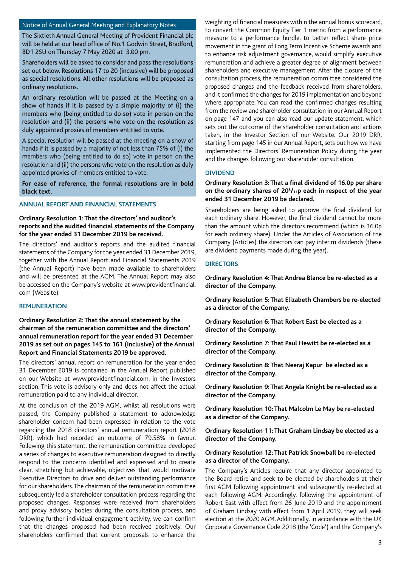The Sixtieth Annual General Meeting of Provident Financial plc will be held at our head office of No.1 Godwin Street, Bradford, BD1 2SU on Thursday 7 May 2020 at 3.00 pm.

Shareholders will be asked to consider and pass the resolutions set out below. Resolutions 17 to 20 (inclusive) will be proposed as special resolutions. All other resolutions will be proposed as ordinary resolutions.

An ordinary resolution will be passed at the Meeting on a show of hands if it is passed by a simple majority of (i) the members who (being entitled to do so) vote in person on the resolution and (ii) the persons who vote on the resolution as duly appointed proxies of members entitled to vote.

A special resolution will be passed at the meeting on a show of hands if it is passed by a majority of not less than 75% of (i) the members who (being entitled to do so) vote in person on the resolution and (ii) the persons who vote on the resolution as duly appointed proxies of members entitled to vote.

**For ease of reference, the formal resolutions are in bold black text.**

## **ANNUAL REPORT AND FINANCIAL STATEMENTS**

# **Ordinary Resolution 1: That the directors' and auditor's reports and the audited financial statements of the Company for the year ended 31 December 2019 be received.**

The directors' and auditor's reports and the audited financial statements of the Company for the year ended 31 December 2019, together with the Annual Report and Financial Statements 2019 (the Annual Report) have been made available to shareholders and will be presented at the AGM. The Annual Report may also be accessed on the Company's website at www.providentfinancial. com (Website).

# **REMUNERATION**

**Ordinary Resolution 2: That the annual statement by the chairman of the remuneration committee and the directors' annual remuneration report for the year ended 31 December 2019 as set out on pages 145 to 161 (inclusive) of the Annual Report and Financial Statements 2019 be approved.**

The directors' annual report on remuneration for the year ended 31 December 2019 is contained in the Annual Report published on our Website at www.providentfinancial.com, in the Investors section. This vote is advisory only and does not affect the actual remuneration paid to any individual director.

At the conclusion of the 2019 AGM, whilst all resolutions were passed, the Company published a statement to acknowledge shareholder concern had been expressed in relation to the vote regarding the 2018 directors' annual remuneration report (2018 DRR), which had recorded an outcome of 79.58% in favour. Following this statement, the remuneration committee developed a series of changes to executive remuneration designed to directly respond to the concerns identified and expressed and to create clear, stretching but achievable, objectives that would motivate Executive Directors to drive and deliver outstanding performance for our shareholders. The chairman of the remuneration committee subsequently led a shareholder consultation process regarding the proposed changes. Responses were received from shareholders and proxy advisory bodies during the consultation process, and following further individual engagement activity, we can confirm that the changes proposed had been received positively. Our shareholders confirmed that current proposals to enhance the

weighting of financial measures within the annual bonus scorecard, to convert the Common Equity Tier 1 metric from a performance measure to a performance hurdle, to better reflect share price movement in the grant of Long Term Incentive Scheme awards and to enhance risk adjustment governance, would simplify executive remuneration and achieve a greater degree of alignment between shareholders and executive management. After the closure of the consultation process, the remuneration committee considered the proposed changes and the feedback received from shareholders, and it confirmed the changes for 2019 implementation and beyond where appropriate. You can read the confirmed changes resulting from the review and shareholder consultation in our Annual Report on page 147 and you can also read our update statement, which sets out the outcome of the shareholder consultation and actions taken, in the Investor Section of our Website. Our 2019 DRR, starting from page 145 in our Annual Report, sets out how we have implemented the Directors' Remuneration Policy during the year and the changes following our shareholder consultation.

# **DIVIDEND**

# **Ordinary Resolution 3: That a final dividend of 16.0p per share on the ordinary shares of 208 /11p each in respect of the year ended 31 December 2019 be declared.**

Shareholders are being asked to approve the final dividend for each ordinary share. However, the final dividend cannot be more than the amount which the directors recommend (which is 16.0p for each ordinary share). Under the Articles of Association of the Company (Articles) the directors can pay interim dividends (these are dividend payments made during the year).

## **DIRECTORS**

**Ordinary Resolution 4: That Andrea Blance be re-elected as a director of the Company.**

**Ordinary Resolution 5: That Elizabeth Chambers be re-elected as a director of the Company.** 

**Ordinary Resolution 6: That Robert East be elected as a director of the Company.**

**Ordinary Resolution 7: That Paul Hewitt be re-elected as a director of the Company.**

**Ordinary Resolution 8: That Neeraj Kapur be elected as a director of the Company.**

**Ordinary Resolution 9: That Angela Knight be re-elected as a director of the Company.**

**Ordinary Resolution 10: That Malcolm Le May be re-elected as a director of the Company.**

**Ordinary Resolution 11: That Graham Lindsay be elected as a director of the Company.**

# **Ordinary Resolution 12: That Patrick Snowball be re-elected as a director of the Company.**

The Company's Articles require that any director appointed to the Board retire and seek to be elected by shareholders at their first AGM following appointment and subsequently re-elected at each following AGM. Accordingly, following the appointment of Robert East with effect from 26 June 2019 and the appointment of Graham Lindsay with effect from 1 April 2019, they will seek election at the 2020 AGM. Additionally, in accordance with the UK Corporate Governance Code 2018 (the 'Code') and the Company's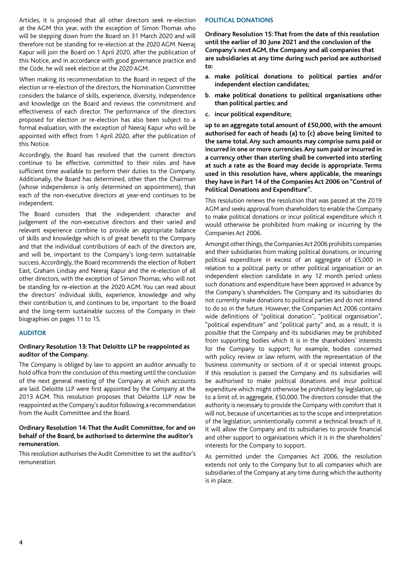Articles, it is proposed that all other directors seek re-election at the AGM this year, with the exception of Simon Thomas who will be stepping down from the Board on 31 March 2020 and will therefore not be standing for re-election at the 2020 AGM. Neeraj Kapur will join the Board on 1 April 2020, after the publication of this Notice, and in accordance with good governance practice and the Code, he will seek election at the 2020 AGM.

When making its recommendation to the Board in respect of the election or re-election of the directors, the Nomination Committee considers the balance of skills, experience, diversity, independence and knowledge on the Board and reviews the commitment and effectiveness of each director. The performance of the directors proposed for election or re-election has also been subject to a formal evaluation, with the exception of Neeraj Kapur who will be appointed with effect from 1 April 2020, after the publication of this Notice.

Accordingly, the Board has resolved that the current directors continue to be effective, committed to their roles and have sufficient time available to perform their duties to the Company. Additionally, the Board has determined, other than the Chairman (whose independence is only determined on appointment), that each of the non-executive directors at year-end continues to be independent.

The Board considers that the independent character and judgement of the non-executive directors and their varied and relevant experience combine to provide an appropriate balance of skills and knowledge which is of great benefit to the Company and that the individual contributions of each of the directors are, and will be, important to the Company's long-term sustainable success. Accordingly, the Board recommends the election of Robert East, Graham Lindsay and Neeraj Kapur and the re-election of all other directors, with the exception of Simon Thomas, who will not be standing for re-election at the 2020 AGM. You can read about the directors' individual skills, experience, knowledge and why their contribution is, and continues to be, important to the Board and the long-term sustainable success of the Company in their biographies on pages 11 to 15.

# **AUDITOR**

# **Ordinary Resolution 13: That Deloitte LLP be reappointed as auditor of the Company.**

The Company is obliged by law to appoint an auditor annually to hold office from the conclusion of this meeting until the conclusion of the next general meeting of the Company at which accounts are laid. Deloitte LLP were first appointed by the Company at the 2013 AGM. This resolution proposes that Deloitte LLP now be reappointed as the Company's auditor following a recommendation from the Audit Committee and the Board.

# **Ordinary Resolution 14: That the Audit Committee, for and on behalf of the Board, be authorised to determine the auditor's remuneration.**

This resolution authorises the Audit Committee to set the auditor's remuneration.

## **POLITICAL DONATIONS**

**Ordinary Resolution 15: That from the date of this resolution until the earlier of 30 June 2021 and the conclusion of the Company's next AGM, the Company and all companies that are subsidiaries at any time during such period are authorised to:**

- **a. make political donations to political parties and/or independent election candidates;**
- **b. make political donations to political organisations other than political parties; and**
- **c. incur political expenditure;**

**up to an aggregate total amount of £50,000, with the amount authorised for each of heads (a) to (c) above being limited to the same total. Any such amounts may comprise sums paid or incurred in one or more currencies. Any sum paid or incurred in a currency other than sterling shall be converted into sterling at such a rate as the Board may decide is appropriate. Terms used in this resolution have, where applicable, the meanings they have in Part 14 of the Companies Act 2006 on "Control of Political Donations and Expenditure".**

This resolution renews the resolution that was passed at the 2019 AGM and seeks approval from shareholders to enable the Company to make political donations or incur political expenditure which it would otherwise be prohibited from making or incurring by the Companies Act 2006.

Amongst other things, the Companies Act 2006 prohibits companies and their subsidiaries from making political donations, or incurring political expenditure in excess of an aggregate of £5,000 in relation to a political party or other political organisation or an independent election candidate in any 12 month period unless such donations and expenditure have been approved in advance by the Company's shareholders. The Company and its subsidiaries do not currently make donations to political parties and do not intend to do so in the future. However, the Companies Act 2006 contains wide definitions of "political donation", "political organisation", "political expenditure" and "political party" and, as a result, it is possible that the Company and its subsidiaries may be prohibited from supporting bodies which it is in the shareholders' interests for the Company to support; for example, bodies concerned with policy review or law reform, with the representation of the business community or sections of it or special interest groups. If this resolution is passed the Company and its subsidiaries will be authorised to make political donations and incur political expenditure which might otherwise be prohibited by legislation, up to a limit of, in aggregate, £50,000. The directors consider that the authority is necessary to provide the Company with comfort that it will not, because of uncertainties as to the scope and interpretation of the legislation, unintentionally commit a technical breach of it. It will allow the Company and its subsidiaries to provide financial and other support to organisations which it is in the shareholders' interests for the Company to support.

As permitted under the Companies Act 2006, the resolution extends not only to the Company but to all companies which are subsidiaries of the Company at any time during which the authority is in place.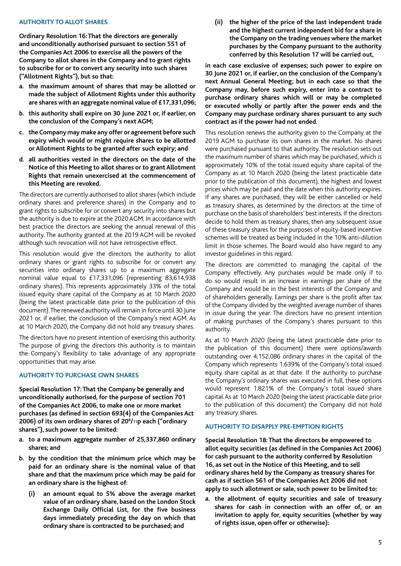## **AUTHORITY TO ALLOT SHARES**

**Ordinary Resolution 16: That the directors are generally and unconditionally authorised pursuant to section 551 of the Companies Act 2006 to exercise all the powers of the Company to allot shares in the Company and to grant rights to subscribe for or to convert any security into such shares ("Allotment Rights"), but so that:**

- **a. the maximum amount of shares that may be allotted or made the subject of Allotment Rights under this authority are shares with an aggregate nominal value of £17,331,096;**
- **b. this authority shall expire on 30 June 2021 or, if earlier, on the conclusion of the Company's next AGM;**
- **c. the Company may make any offer or agreement before such expiry which would or might require shares to be allotted or Allotment Rights to be granted after such expiry; and**
- **d. all authorities vested in the directors on the date of the Notice of this Meeting to allot shares or to grant Allotment Rights that remain unexercised at the commencement of this Meeting are revoked.**

The directors are currently authorised to allot shares (which include ordinary shares and preference shares) in the Company and to grant rights to subscribe for or convert any security into shares but the authority is due to expire at the 2020 AGM. In accordance with best practice the directors are seeking the annual renewal of this authority. The authority granted at the 2019 AGM will be revoked although such revocation will not have retrospective effect.

This resolution would give the directors the authority to allot ordinary shares or grant rights to subscribe for or convert any securities into ordinary shares up to a maximum aggregate nominal value equal to £17,331,096 (representing 83,614,938 ordinary shares). This represents approximately 33% of the total issued equity share capital of the Company as at 10 March 2020 (being the latest practicable date prior to the publication of this document). The renewed authority will remain in force until 30 June 2021 or, if earlier, the conclusion of the Company's next AGM. As at 10 March 2020, the Company did not hold any treasury shares.

The directors have no present intention of exercising this authority. The purpose of giving the directors this authority is to maintain the Company's flexibility to take advantage of any appropriate opportunities that may arise.

## **AUTHORITY TO PURCHASE OWN SHARES**

**Special Resolution 17: That the Company be generally and unconditionally authorised, for the purpose of section 701 of the Companies Act 2006, to make one or more market purchases (as defined in section 693(4) of the Companies Act 2006) of its own ordinary shares of 208 /11p each ("ordinary shares"), such power to be limited:**

- **a. to a maximum aggregate number of 25,337,860 ordinary shares; and**
- **b. by the condition that the minimum price which may be paid for an ordinary share is the nominal value of that share and that the maximum price which may be paid for an ordinary share is the highest of:**
	- **(i) an amount equal to 5% above the average market value of an ordinary share, based on the London Stock Exchange Daily Official List, for the five business days immediately preceding the day on which that ordinary share is contracted to be purchased; and**

**(ii) the higher of the price of the last independent trade and the highest current independent bid for a share in the Company on the trading venues where the market purchases by the Company pursuant to the authority conferred by this Resolution 17 will be carried out,**

**in each case exclusive of expenses; such power to expire on 30 June 2021 or, if earlier, on the conclusion of the Company's next Annual General Meeting; but in each case so that the Company may, before such expiry, enter into a contract to purchase ordinary shares which will or may be completed or executed wholly or partly after the power ends and the Company may purchase ordinary shares pursuant to any such contract as if the power had not ended.**

This resolution renews the authority given to the Company at the 2019 AGM to purchase its own shares in the market. No shares were purchased pursuant to that authority. The resolution sets out the maximum number of shares which may be purchased, which is approximately 10% of the total issued equity share capital of the Company as at 10 March 2020 (being the latest practicable date prior to the publication of this document), the highest and lowest prices which may be paid and the date when this authority expires. If any shares are purchased, they will be either cancelled or held as treasury shares, as determined by the directors at the time of purchase on the basis of shareholders' best interests. If the directors decide to hold them as treasury shares, then any subsequent issue of these treasury shares for the purposes of equity-based incentive schemes will be treated as being included in the 10% anti-dilution limit in those schemes. The Board would also have regard to any investor guidelines in this regard.

The directors are committed to managing the capital of the Company effectively. Any purchases would be made only if to do so would result in an increase in earnings per share of the Company and would be in the best interests of the Company and of shareholders generally. Earnings per share is the profit after tax of the Company divided by the weighted average number of shares in issue during the year. The directors have no present intention of making purchases of the Company's shares pursuant to this authority.

As at 10 March 2020 (being the latest practicable date prior to the publication of this document) there were options/awards outstanding over 4,152,086 ordinary shares in the capital of the Company which represents 1.639% of the Company's total issued equity share capital as at that date. If the authority to purchase the Company's ordinary shares was executed in full, these options would represent 1.821% of the Company's total issued share capital. As at 10 March 2020 (being the latest practicable date prior to the publication of this document) the Company did not hold any treasury shares.

## **AUTHORITY TO DISAPPLY PRE-EMPTION RIGHTS**

**Special Resolution 18: That the directors be empowered to allot equity securities (as defined in the Companies Act 2006) for cash pursuant to the authority conferred by Resolution 16, as set out in the Notice of this Meeting, and to sell ordinary shares held by the Company as treasury shares for cash as if section 561 of the Companies Act 2006 did not apply to such allotment or sale, such power to be limited to:**

**a. the allotment of equity securities and sale of treasury shares for cash in connection with an offer of, or an invitation to apply for, equity securities (whether by way of rights issue, open offer or otherwise):**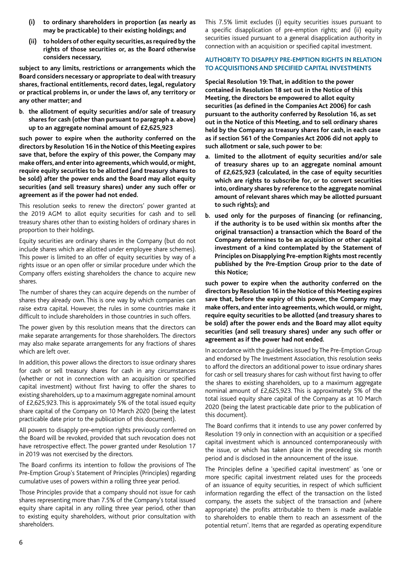- **(i) to ordinary shareholders in proportion (as nearly as may be practicable) to their existing holdings; and**
- **(ii) to holders of other equity securities, as required by the rights of those securities or, as the Board otherwise considers necessary,**

**subject to any limits, restrictions or arrangements which the Board considers necessary or appropriate to deal with treasury shares, fractional entitlements, record dates, legal, regulatory or practical problems in, or under the laws of, any territory or any other matter; and**

**b. the allotment of equity securities and/or sale of treasury shares for cash (other than pursuant to paragraph a. above) up to an aggregate nominal amount of £2,625,923**

**such power to expire when the authority conferred on the directors by Resolution 16 in the Notice of this Meeting expires save that, before the expiry of this power, the Company may make offers, and enter into agreements, which would, or might, require equity securities to be allotted (and treasury shares to be sold) after the power ends and the Board may allot equity securities (and sell treasury shares) under any such offer or agreement as if the power had not ended.**

This resolution seeks to renew the directors' power granted at the 2019 AGM to allot equity securities for cash and to sell treasury shares other than to existing holders of ordinary shares in proportion to their holdings.

Equity securities are ordinary shares in the Company (but do not include shares which are allotted under employee share schemes). This power is limited to an offer of equity securities by way of a rights issue or an open offer or similar procedure under which the Company offers existing shareholders the chance to acquire new shares.

The number of shares they can acquire depends on the number of shares they already own. This is one way by which companies can raise extra capital. However, the rules in some countries make it difficult to include shareholders in those countries in such offers.

The power given by this resolution means that the directors can make separate arrangements for those shareholders. The directors may also make separate arrangements for any fractions of shares which are left over.

In addition, this power allows the directors to issue ordinary shares for cash or sell treasury shares for cash in any circumstances (whether or not in connection with an acquisition or specified capital investment) without first having to offer the shares to existing shareholders, up to a maximum aggregate nominal amount of £2,625,923. This is approximately 5% of the total issued equity share capital of the Company on 10 March 2020 (being the latest practicable date prior to the publication of this document).

All powers to disapply pre-emption rights previously conferred on the Board will be revoked, provided that such revocation does not have retrospective effect. The power granted under Resolution 17 in 2019 was not exercised by the directors.

The Board confirms its intention to follow the provisions of The Pre-Emption Group's Statement of Principles (Principles) regarding cumulative uses of powers within a rolling three year period.

Those Principles provide that a company should not issue for cash shares representing more than 7.5% of the Company's total issued equity share capital in any rolling three year period, other than to existing equity shareholders, without prior consultation with shareholders.

This 7.5% limit excludes (i) equity securities issues pursuant to a specific disapplication of pre-emption rights; and (ii) equity securities issued pursuant to a general disapplication authority in connection with an acquisition or specified capital investment.

# **AUTHORITY TO DISAPPLY PRE-EMPTION RIGHTS IN RELATION TO ACQUISITIONS AND SPECIFIED CAPITAL INVESTMENTS**

**Special Resolution 19: That, in addition to the power contained in Resolution 18 set out in the Notice of this Meeting, the directors be empowered to allot equity securities (as defined in the Companies Act 2006) for cash pursuant to the authority conferred by Resolution 16, as set out in the Notice of this Meeting, and to sell ordinary shares held by the Company as treasury shares for cash, in each case as if section 561 of the Companies Act 2006 did not apply to such allotment or sale, such power to be:**

- **a. limited to the allotment of equity securities and/or sale of treasury shares up to an aggregate nominal amount of £2,625,923 (calculated, in the case of equity securities which are rights to subscribe for, or to convert securities into, ordinary shares by reference to the aggregate nominal amount of relevant shares which may be allotted pursuant to such rights); and**
- **b. used only for the purposes of financing (or refinancing, if the authority is to be used within six months after the original transaction) a transaction which the Board of the Company determines to be an acquisition or other capital investment of a kind contemplated by the Statement of Principles on Disapplying Pre-emption Rights most recently published by the Pre-Emption Group prior to the date of this Notice;**

**such power to expire when the authority conferred on the directors by Resolution 16 in the Notice of this Meeting expires save that, before the expiry of this power, the Company may make offers, and enter into agreements, which would, or might, require equity securities to be allotted (and treasury shares to be sold) after the power ends and the Board may allot equity securities (and sell treasury shares) under any such offer or agreement as if the power had not ended.**

In accordance with the guidelines issued by The Pre-Emption Group and endorsed by The Investment Association, this resolution seeks to afford the directors an additional power to issue ordinary shares for cash or sell treasury shares for cash without first having to offer the shares to existing shareholders, up to a maximum aggregate nominal amount of £2,625,923. This is approximately 5% of the total issued equity share capital of the Company as at 10 March 2020 (being the latest practicable date prior to the publication of this document).

The Board confirms that it intends to use any power conferred by Resolution 19 only in connection with an acquisition or a specified capital investment which is announced contemporaneously with the issue, or which has taken place in the preceding six month period and is disclosed in the announcement of the issue.

The Principles define a 'specified capital investment' as 'one or more specific capital investment related uses for the proceeds of an issuance of equity securities, in respect of which sufficient information regarding the effect of the transaction on the listed company, the assets the subject of the transaction and (where appropriate) the profits attributable to them is made available to shareholders to enable them to reach an assessment of the potential return'. Items that are regarded as operating expenditure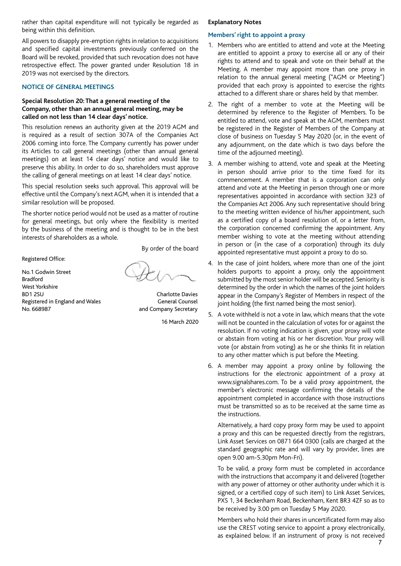rather than capital expenditure will not typically be regarded as being within this definition.

All powers to disapply pre-emption rights in relation to acquisitions and specified capital investments previously conferred on the Board will be revoked, provided that such revocation does not have retrospective effect. The power granted under Resolution 18 in 2019 was not exercised by the directors.

## **NOTICE OF GENERAL MEETINGS**

# **Special Resolution 20: That a general meeting of the Company, other than an annual general meeting, may be called on not less than 14 clear days' notice.**

This resolution renews an authority given at the 2019 AGM and is required as a result of section 307A of the Companies Act 2006 coming into force. The Company currently has power under its Articles to call general meetings (other than annual general meetings) on at least 14 clear days' notice and would like to preserve this ability. In order to do so, shareholders must approve the calling of general meetings on at least 14 clear days' notice.

This special resolution seeks such approval. This approval will be effective until the Company's next AGM, when it is intended that a similar resolution will be proposed.

The shorter notice period would not be used as a matter of routine for general meetings, but only where the flexibility is merited by the business of the meeting and is thought to be in the best interests of shareholders as a whole.

Registered Office:

No.1 Godwin Street Bradford West Yorkshire BD1 2SU Charlotte Davies Registered in England and Wales General Counsel No. 668987 **and Company Secretary** 



By order of the board

16 March 2020

## **Explanatory Notes**

# **Members' right to appoint a proxy**

- 1. Members who are entitled to attend and vote at the Meeting are entitled to appoint a proxy to exercise all or any of their rights to attend and to speak and vote on their behalf at the Meeting. A member may appoint more than one proxy in relation to the annual general meeting ("AGM or Meeting") provided that each proxy is appointed to exercise the rights attached to a different share or shares held by that member.
- 2. The right of a member to vote at the Meeting will be determined by reference to the Register of Members. To be entitled to attend, vote and speak at the AGM, members must be registered in the Register of Members of the Company at close of business on Tuesday 5 May 2020 (or, in the event of any adjournment, on the date which is two days before the time of the adjourned meeting).
- 3. A member wishing to attend, vote and speak at the Meeting in person should arrive prior to the time fixed for its commencement. A member that is a corporation can only attend and vote at the Meeting in person through one or more representatives appointed in accordance with section 323 of the Companies Act 2006. Any such representative should bring to the meeting written evidence of his/her appointment, such as a certified copy of a board resolution of, or a letter from, the corporation concerned confirming the appointment. Any member wishing to vote at the meeting without attending in person or (in the case of a corporation) through its duly appointed representative must appoint a proxy to do so.
- In the case of joint holders, where more than one of the joint holders purports to appoint a proxy, only the appointment submitted by the most senior holder will be accepted. Seniority is determined by the order in which the names of the joint holders appear in the Company's Register of Members in respect of the joint holding (the first named being the most senior).
- 5. A vote withheld is not a vote in law, which means that the vote will not be counted in the calculation of votes for or against the resolution. If no voting indication is given, your proxy will vote or abstain from voting at his or her discretion. Your proxy will vote (or abstain from voting) as he or she thinks fit in relation to any other matter which is put before the Meeting.
- 6. A member may appoint a proxy online by following the instructions for the electronic appointment of a proxy at www.signalshares.com. To be a valid proxy appointment, the member's electronic message confirming the details of the appointment completed in accordance with those instructions must be transmitted so as to be received at the same time as the instructions.

 Alternatively, a hard copy proxy form may be used to appoint a proxy and this can be requested directly from the registrars, Link Asset Services on 0871 664 0300 (calls are charged at the standard geographic rate and will vary by provider, lines are open 9.00 am-5.30pm Mon-Fri).

 To be valid, a proxy form must be completed in accordance with the instructions that accompany it and delivered (together with any power of attorney or other authority under which it is signed, or a certified copy of such item) to Link Asset Services, PXS 1, 34 Beckenham Road, Beckenham, Kent BR3 4ZF so as to be received by 3.00 pm on Tuesday 5 May 2020.

7 Members who hold their shares in uncertificated form may also use the CREST voting service to appoint a proxy electronically, as explained below. If an instrument of proxy is not received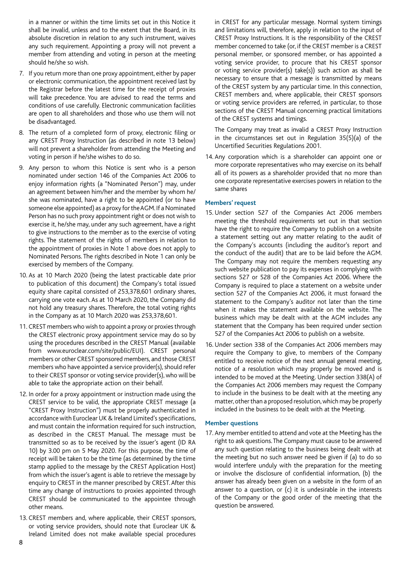in a manner or within the time limits set out in this Notice it shall be invalid, unless and to the extent that the Board, in its absolute discretion in relation to any such instrument, waives any such requirement. Appointing a proxy will not prevent a member from attending and voting in person at the meeting should he/she so wish.

- 7. If you return more than one proxy appointment, either by paper or electronic communication, the appointment received last by the Registrar before the latest time for the receipt of proxies will take precedence. You are advised to read the terms and conditions of use carefully. Electronic communication facilities are open to all shareholders and those who use them will not be disadvantaged.
- 8. The return of a completed form of proxy, electronic filing or any CREST Proxy Instruction (as described in note 13 below) will not prevent a shareholder from attending the Meeting and voting in person if he/she wishes to do so.
- 9. Any person to whom this Notice is sent who is a person nominated under section 146 of the Companies Act 2006 to enjoy information rights (a "Nominated Person") may, under an agreement between him/her and the member by whom he/ she was nominated, have a right to be appointed (or to have someone else appointed) as a proxy for the AGM. If a Nominated Person has no such proxy appointment right or does not wish to exercise it, he/she may, under any such agreement, have a right to give instructions to the member as to the exercise of voting rights. The statement of the rights of members in relation to the appointment of proxies in Note 1 above does not apply to Nominated Persons. The rights described in Note 1 can only be exercised by members of the Company.
- 10. As at 10 March 2020 (being the latest practicable date prior to publication of this document) the Company's total issued equity share capital consisted of 253,378,601 ordinary shares, carrying one vote each. As at 10 March 2020, the Company did not hold any treasury shares. Therefore, the total voting rights in the Company as at 10 March 2020 was 253,378,601.
- 11. CREST members who wish to appoint a proxy or proxies through the CREST electronic proxy appointment service may do so by using the procedures described in the CREST Manual (available from www.euroclear.com/site/public/EUI). CREST personal members or other CREST sponsored members, and those CREST members who have appointed a service provider(s), should refer to their CREST sponsor or voting service provider(s), who will be able to take the appropriate action on their behalf.
- 12. In order for a proxy appointment or instruction made using the CREST service to be valid, the appropriate CREST message (a "CREST Proxy Instruction") must be properly authenticated in accordance with Euroclear UK & Ireland Limited's specifications, and must contain the information required for such instruction, as described in the CREST Manual. The message must be transmitted so as to be received by the issuer's agent (ID RA 10) by 3.00 pm on 5 May 2020. For this purpose, the time of receipt will be taken to be the time (as determined by the time stamp applied to the message by the CREST Application Host) from which the issuer's agent is able to retrieve the message by enquiry to CREST in the manner prescribed by CREST. After this time any change of instructions to proxies appointed through CREST should be communicated to the appointee through other means.
- 13. CREST members and, where applicable, their CREST sponsors, or voting service providers, should note that Euroclear UK & Ireland Limited does not make available special procedures

in CREST for any particular message. Normal system timings and limitations will, therefore, apply in relation to the input of CREST Proxy Instructions. It is the responsibility of the CREST member concerned to take (or, if the CREST member is a CREST personal member, or sponsored member, or has appointed a voting service provider, to procure that his CREST sponsor or voting service provider(s) take(s)) such action as shall be necessary to ensure that a message is transmitted by means of the CREST system by any particular time. In this connection, CREST members and, where applicable, their CREST sponsors or voting service providers are referred, in particular, to those sections of the CREST Manual concerning practical limitations of the CREST systems and timings.

 The Company may treat as invalid a CREST Proxy Instruction in the circumstances set out in Regulation 35(5)(a) of the Uncertified Securities Regulations 2001.

14. Any corporation which is a shareholder can appoint one or more corporate representatives who may exercise on its behalf all of its powers as a shareholder provided that no more than one corporate representative exercises powers in relation to the same shares

# **Members' request**

- 15. Under section 527 of the Companies Act 2006 members meeting the threshold requirements set out in that section have the right to require the Company to publish on a website a statement setting out any matter relating to the audit of the Company's accounts (including the auditor's report and the conduct of the audit) that are to be laid before the AGM. The Company may not require the members requesting any such website publication to pay its expenses in complying with sections 527 or 528 of the Companies Act 2006. Where the Company is required to place a statement on a website under section 527 of the Companies Act 2006, it must forward the statement to the Company's auditor not later than the time when it makes the statement available on the website. The business which may be dealt with at the AGM includes any statement that the Company has been required under section 527 of the Companies Act 2006 to publish on a website.
- 16. Under section 338 of the Companies Act 2006 members may require the Company to give, to members of the Company entitled to receive notice of the next annual general meeting, notice of a resolution which may properly be moved and is intended to be moved at the Meeting. Under section 338(A) of the Companies Act 2006 members may request the Company to include in the business to be dealt with at the meeting any matter, other than a proposed resolution, which may be properly included in the business to be dealt with at the Meeting.

# **Member questions**

17. Any member entitled to attend and vote at the Meeting has the right to ask questions. The Company must cause to be answered any such question relating to the business being dealt with at the meeting but no such answer need be given if (a) to do so would interfere unduly with the preparation for the meeting or involve the disclosure of confidential information, (b) the answer has already been given on a website in the form of an answer to a question, or (c) it is undesirable in the interests of the Company or the good order of the meeting that the question be answered.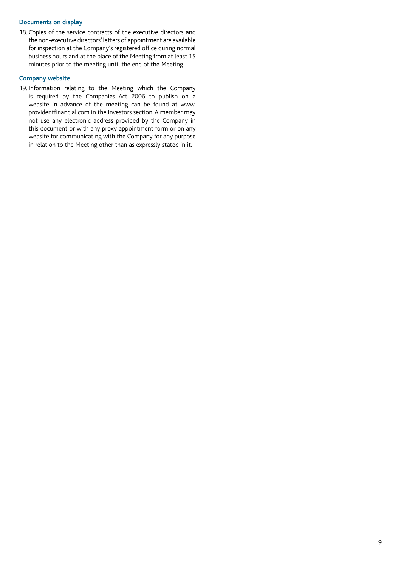# **Documents on display**

18. Copies of the service contracts of the executive directors and the non-executive directors' letters of appointment are available for inspection at the Company's registered office during normal business hours and at the place of the Meeting from at least 15 minutes prior to the meeting until the end of the Meeting.

# **Company website**

19. Information relating to the Meeting which the Company is required by the Companies Act 2006 to publish on a website in advance of the meeting can be found at www. providentfinancial.com in the Investors section. A member may not use any electronic address provided by the Company in this document or with any proxy appointment form or on any website for communicating with the Company for any purpose in relation to the Meeting other than as expressly stated in it.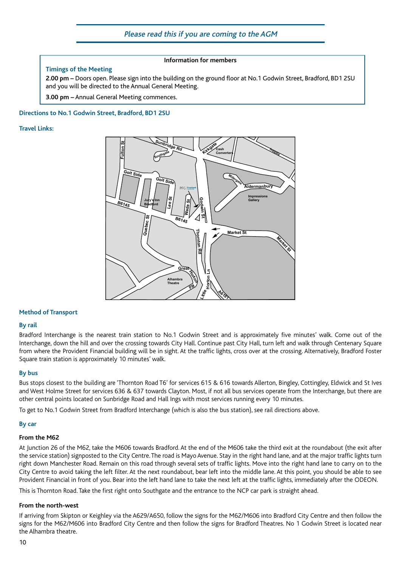# Please read this if you are coming to the AGM

## **Information for members**

# **Timings of the Meeting**

**2.00 pm –** Doors open. Please sign into the building on the ground floor at No.1 Godwin Street, Bradford, BD1 2SU and you will be directed to the Annual General Meeting.

**3.00 pm –** Annual General Meeting commences.

# **Directions to No.1 Godwin Street, Bradford, BD1 2SU**

# **Travel Links:**



# **Method of Transport**

# **By rail**

Bradford Interchange is the nearest train station to No.1 Godwin Street and is approximately five minutes' walk. Come out of the Interchange, down the hill and over the crossing towards City Hall. Continue past City Hall, turn left and walk through Centenary Square from where the Provident Financial building will be in sight. At the traffic lights, cross over at the crossing. Alternatively, Bradford Foster Square train station is approximately 10 minutes' walk.

# **By bus**

Bus stops closest to the building are 'Thornton Road T6' for services 615 & 616 towards Allerton, Bingley, Cottingley, Eldwick and St Ives and West Holme Street for services 636 & 637 towards Clayton. Most, if not all bus services operate from the Interchange, but there are other central points located on Sunbridge Road and Hall Ings with most services running every 10 minutes.

To get to No.1 Godwin Street from Bradford Interchange (which is also the bus station), see rail directions above.

# **By car**

# **From the M62**

At Junction 26 of the M62, take the M606 towards Bradford. At the end of the M606 take the third exit at the roundabout (the exit after the service station) signposted to the City Centre. The road is Mayo Avenue. Stay in the right hand lane, and at the major traffic lights turn right down Manchester Road. Remain on this road through several sets of traffic lights. Move into the right hand lane to carry on to the City Centre to avoid taking the left filter. At the next roundabout, bear left into the middle lane. At this point, you should be able to see Provident Financial in front of you. Bear into the left hand lane to take the next left at the traffic lights, immediately after the ODEON.

This is Thornton Road. Take the first right onto Southgate and the entrance to the NCP car park is straight ahead.

# **From the north-west**

If arriving from Skipton or Keighley via the A629/A650, follow the signs for the M62/M606 into Bradford City Centre and then follow the signs for the M62/M606 into Bradford City Centre and then follow the signs for Bradford Theatres. No 1 Godwin Street is located near the Alhambra theatre.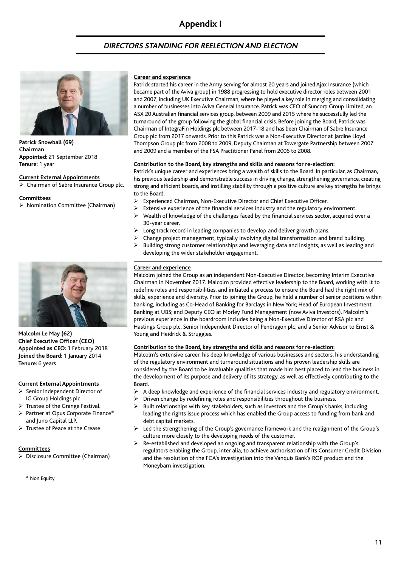# **Appendix I**

# **DIRECTORS STANDING FOR REELECTION AND ELECTION**



**Patrick Snowball (69) Chairman Appointed:** 21 September 2018 **Tenure:** 1 year

## **Current External Appointments**

Chairman of Sabre Insurance Group plc.

## **Committees**

Nomination Committee (Chairman)



**Malcolm Le May (62) Chief Executive Officer (CEO) Appointed as CEO:** 1 February 2018 **Joined the Board:** 1 January 2014 **Tenure:** 6 years

## **Current External Appointments**

- Senior Independent Director of IG Group Holdings plc.
- $\triangleright$  Trustee of the Grange Festival.
- Partner at Opus Corporate Finance\* and Juno Capital LLP.
- Trustee of Peace at the Crease

### **Committees**

Disclosure Committee (Chairman)

\* Non Equity

### **Career and experience**

Patrick started his career in the Army serving for almost 20 years and joined Ajax Insurance (which became part of the Aviva group) in 1988 progressing to hold executive director roles between 2001 and 2007, including UK Executive Chairman, where he played a key role in merging and consolidating a number of businesses into Aviva General Insurance. Patrick was CEO of Suncorp Group Limited, an ASX 20 Australian financial services group, between 2009 and 2015 where he successfully led the turnaround of the group following the global financial crisis. Before joining the Board, Patrick was Chairman of IntegraFin Holdings plc between 2017-18 and has been Chairman of Sabre Insurance Group plc from 2017 onwards. Prior to this Patrick was a Non-Executive Director at Jardine Lloyd Thompson Group plc from 2008 to 2009, Deputy Chairman at Towergate Partnership between 2007 and 2009 and a member of the FSA Practitioner Panel from 2006 to 2008.

# **Contribution to the Board, key strengths and skills and reasons for re-election:**

Patrick's unique career and experiences bring a wealth of skills to the Board. In particular, as Chairman, his previous leadership and demonstrable success in driving change, strengthening governance, creating strong and efficient boards, and instilling stability through a positive culture are key strengths he brings to the Board.

- Experienced Chairman, Non-Executive Director and Chief Executive Officer.
- Extensive experience of the financial services industry and the regulatory environment.
- $\triangleright$  Wealth of knowledge of the challenges faced by the financial services sector, acquired over a 30-year career.
- Long track record in leading companies to develop and deliver growth plans.
- Change project management, typically involving digital transformation and brand building.
- Building strong customer relationships and leveraging data and insights, as well as leading and developing the wider stakeholder engagement.

## **Career and experience**

Malcolm joined the Group as an independent Non-Executive Director, becoming Interim Executive Chairman in November 2017. Malcolm provided effective leadership to the Board, working with it to redefine roles and responsibilities, and initiated a process to ensure the Board had the right mix of skills, experience and diversity. Prior to joining the Group, he held a number of senior positions within banking, including as Co-Head of Banking for Barclays in New York; Head of European Investment Banking at UBS; and Deputy CEO at Morley Fund Management (now Aviva Investors). Malcolm's previous experience in the boardroom includes being a Non-Executive Director of RSA plc and Hastings Group plc, Senior Independent Director of Pendragon plc, and a Senior Advisor to Ernst & Young and Heidrick & Struggles.

## **Contribution to the Board, key strengths and skills and reasons for re-election:**

Malcolm's extensive career, his deep knowledge of various businesses and sectors, his understanding of the regulatory environment and turnaround situations and his proven leadership skills are considered by the Board to be invaluable qualities that made him best placed to lead the business in the development of its purpose and delivery of its strategy, as well as effectively contributing to the Board.

- $\triangleright$  A deep knowledge and experience of the financial services industry and regulatory environment.
- $\triangleright$  Driven change by redefining roles and responsibilities throughout the business.
- $\triangleright$  Built relationships with key stakeholders, such as investors and the Group's banks, including leading the rights issue process which has enabled the Group access to funding from bank and debt capital markets.
- $\triangleright$  Led the strengthening of the Group's governance framework and the realignment of the Group's culture more closely to the developing needs of the customer.
- Re-established and developed an ongoing and transparent relationship with the Group's regulators enabling the Group, inter alia, to achieve authorisation of its Consumer Credit Division and the resolution of the FCA's investigation into the Vanquis Bank's ROP product and the Moneybarn investigation.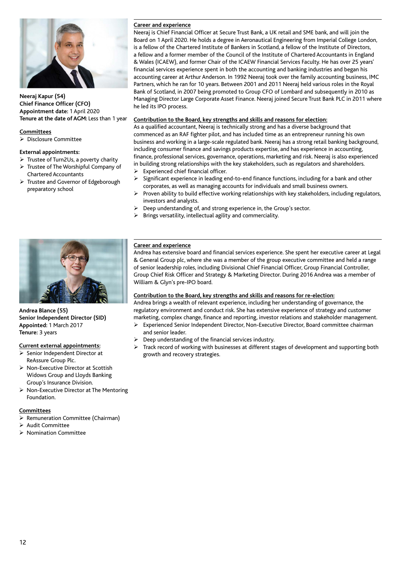

**Neeraj Kapur (54) Chief Finance Officer (CFO) Appointment date:** 1 April 2020 **Tenure at the date of AGM:** Less than 1 year

## **Committees**

Disclosure Committee

## **External appointments:**

 $\geq$  Trustee of Turn2Us, a poverty charity<br> $\geq$  Trustee of The Worshipful Company of

- Trustee of The Worshipful Company of Chartered Accountants
- Trustee and Governor of Edgeborough preparatory school

## **Career and experience**

Neeraj is Chief Financial Officer at Secure Trust Bank, a UK retail and SME bank, and will join the Board on 1 April 2020. He holds a degree in Aeronautical Engineering from Imperial College London, is a fellow of the Chartered Institute of Bankers in Scotland, a fellow of the Institute of Directors, a fellow and a former member of the Council of the Institute of Chartered Accountants in England & Wales (ICAEW), and former Chair of the ICAEW Financial Services Faculty. He has over 25 years' financial services experience spent in both the accounting and banking industries and began his accounting career at Arthur Anderson. In 1992 Neeraj took over the family accounting business, IMC Partners, which he ran for 10 years. Between 2001 and 2011 Neeraj held various roles in the Royal Bank of Scotland, in 2007 being promoted to Group CFO of Lombard and subsequently in 2010 as Managing Director Large Corporate Asset Finance. Neeraj joined Secure Trust Bank PLC in 2011 where he led its IPO process.

## **Contribution to the Board, key strengths and skills and reasons for election:**

As a qualified accountant, Neeraj is technically strong and has a diverse background that commenced as an RAF fighter pilot, and has included time as an entrepreneur running his own business and working in a large-scale regulated bank. Neeraj has a strong retail banking background, including consumer finance and savings products expertise, and has experience in accounting, finance, professional services, governance, operations, marketing and risk. Neeraj is also experienced in building strong relationships with the key stakeholders, such as regulators and shareholders.

- $\triangleright$  Experienced chief financial officer.
- Significant experience in leading end-to-end finance functions, including for a bank and other corporates, as well as managing accounts for individuals and small business owners.
- $\triangleright$  Proven ability to build effective working relationships with key stakeholders, including regulators, investors and analysts.
- $\triangleright$  Deep understanding of, and strong experience in, the Group's sector.
- Brings versatility, intellectual agility and commerciality.



**Andrea Blance (55) Senior Independent Director (SID) Appointed:** 1 March 2017 **Tenure:** 3 years

## **Current external appointments:**

- $\triangleright$  Senior Independent Director at ReAssure Group Plc.
- > Non-Executive Director at Scottish Widows Group and Lloyds Banking Group's Insurance Division.
- $\triangleright$  Non-Executive Director at The Mentoring Foundation.

## **Committees**

- Remuneration Committee (Chairman)
- Audit Committee
- $\triangleright$  Nomination Committee

## **Career and experience**

Andrea has extensive board and financial services experience. She spent her executive career at Legal & General Group plc, where she was a member of the group executive committee and held a range of senior leadership roles, including Divisional Chief Financial Officer, Group Financial Controller, Group Chief Risk Officer and Strategy & Marketing Director. During 2016 Andrea was a member of William & Glyn's pre-IPO board.

## **Contribution to the Board, key strengths and skills and reasons for re-election:**

Andrea brings a wealth of relevant experience, including her understanding of governance, the regulatory environment and conduct risk. She has extensive experience of strategy and customer marketing, complex change, finance and reporting, investor relations and stakeholder management.

- Experienced Senior Independent Director, Non-Executive Director, Board committee chairman and senior leader.
- Deep understanding of the financial services industry.
- Track record of working with businesses at different stages of development and supporting both growth and recovery strategies.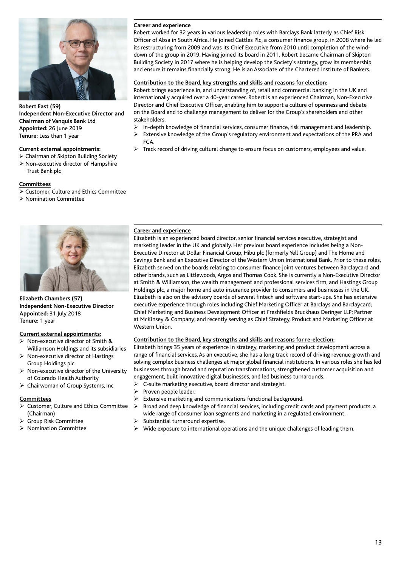

**Robert East (59) Independent Non-Executive Director and Chairman of Vanquis Bank Ltd Appointed:** 26 June 2019 **Tenure:** Less than 1 year

## **Current external appointments:**

- Chairman of Skipton Building Society
- $\triangleright$  Non-executive director of Hampshire Trust Bank plc

## **Committees**

- Customer, Culture and Ethics Committee
- Nomination Committee



**Elizabeth Chambers (57) Independent Non-Executive Director Appointed:** 31 July 2018 **Tenure:** 1 year

## **Current external appointments:**

- Non-executive director of Smith & Williamson Holdings and its subsidiaries
- $\triangleright$  Non-executive director of Hastings Group Holdings plc
- $\triangleright$  Non-executive director of the University of Colorado Health Authority
- Chairwoman of Group Systems, Inc

## **Committees**

- Customer, Culture and Ethics Committee (Chairman)
- Group Risk Committee
- Nomination Committee

## **Career and experience**

Robert worked for 32 years in various leadership roles with Barclays Bank latterly as Chief Risk Officer of Absa in South Africa. He joined Cattles Plc, a consumer finance group, in 2008 where he led its restructuring from 2009 and was its Chief Executive from 2010 until completion of the winddown of the group in 2019. Having joined its board in 2011, Robert became Chairman of Skipton Building Society in 2017 where he is helping develop the Society's strategy, grow its membership and ensure it remains financially strong. He is an Associate of the Chartered Institute of Bankers.

## **Contribution to the Board, key strengths and skills and reasons for election:**

Robert brings experience in, and understanding of, retail and commercial banking in the UK and internationally acquired over a 40-year career. Robert is an experienced Chairman, Non-Executive Director and Chief Executive Officer, enabling him to support a culture of openness and debate on the Board and to challenge management to deliver for the Group's shareholders and other stakeholders.

- $\triangleright$  In-depth knowledge of financial services, consumer finance, risk management and leadership.
- $\triangleright$  Extensive knowledge of the Group's regulatory environment and expectations of the PRA and FCA.
- $\triangleright$  Track record of driving cultural change to ensure focus on customers, employees and value.

## **Career and experience**

Elizabeth is an experienced board director, senior financial services executive, strategist and marketing leader in the UK and globally. Her previous board experience includes being a Non-Executive Director at Dollar Financial Group, Hibu plc (formerly Yell Group) and The Home and Savings Bank and an Executive Director of the Western Union International Bank. Prior to these roles, Elizabeth served on the boards relating to consumer finance joint ventures between Barclaycard and other brands, such as Littlewoods, Argos and Thomas Cook. She is currently a Non-Executive Director at Smith & Williamson, the wealth management and professional services firm, and Hastings Group Holdings plc, a major home and auto insurance provider to consumers and businesses in the UK. Elizabeth is also on the advisory boards of several fintech and software start-ups. She has extensive executive experience through roles including Chief Marketing Officer at Barclays and Barclaycard; Chief Marketing and Business Development Officer at Freshfields Bruckhaus Deringer LLP; Partner at McKinsey & Company; and recently serving as Chief Strategy, Product and Marketing Officer at Western Union.

## **Contribution to the Board, key strengths and skills and reasons for re-election:**

Elizabeth brings 35 years of experience in strategy, marketing and product development across a range of financial services. As an executive, she has a long track record of driving revenue growth and solving complex business challenges at major global financial institutions. In various roles she has led businesses through brand and reputation transformations, strengthened customer acquisition and engagement, built innovative digital businesses, and led business turnarounds.

- C-suite marketing executive, board director and strategist.
- $\triangleright$  Proven people leader.
- Extensive marketing and communications functional background.
- Broad and deep knowledge of financial services, including credit cards and payment products, a wide range of consumer loan segments and marketing in a regulated environment.
- Substantial turnaround expertise.
- $\triangleright$  Wide exposure to international operations and the unique challenges of leading them.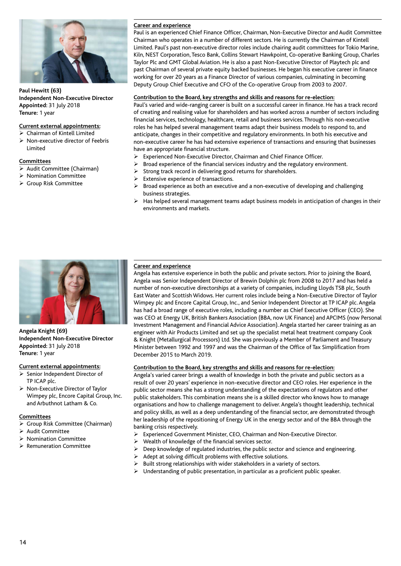

**Paul Hewitt (63) Independent Non-Executive Director Appointed:** 31 July 2018 **Tenure:** 1 year

## **Current external appointments:**

- Chairman of Kintell Limited
- $\triangleright$  Non-executive director of Feebris Limited

## **Committees**

- > Audit Committee (Chairman)
- $\triangleright$  Nomination Committee
- Group Risk Committee

## **Career and experience**

Paul is an experienced Chief Finance Officer, Chairman, Non-Executive Director and Audit Committee Chairman who operates in a number of different sectors. He is currently the Chairman of Kintell Limited. Paul's past non-executive director roles include chairing audit committees for Tokio Marine, Kiln, NEST Corporation, Tesco Bank, Collins Stewart Hawkpoint, Co-operative Banking Group, Charles Taylor Plc and GMT Global Aviation. He is also a past Non-Executive Director of Playtech plc and past Chairman of several private equity backed businesses. He began his executive career in finance working for over 20 years as a Finance Director of various companies, culminating in becoming Deputy Group Chief Executive and CFO of the Co-operative Group from 2003 to 2007.

## **Contribution to the Board, key strengths and skills and reasons for re-election:**

Paul's varied and wide-ranging career is built on a successful career in finance. He has a track record of creating and realising value for shareholders and has worked across a number of sectors including financial services, technology, healthcare, retail and business services. Through his non-executive roles he has helped several management teams adapt their business models to respond to, and anticipate, changes in their competitive and regulatory environments. In both his executive and non-executive career he has had extensive experience of transactions and ensuring that businesses have an appropriate financial structure.

- Experienced Non-Executive Director, Chairman and Chief Finance Officer.
- $\triangleright$  Broad experience of the financial services industry and the regulatory environment.
- $\triangleright$  Strong track record in delivering good returns for shareholders.
- $\triangleright$  Extensive experience of transactions.
- $\triangleright$  Broad experience as both an executive and a non-executive of developing and challenging business strategies.
- $\triangleright$  Has helped several management teams adapt business models in anticipation of changes in their environments and markets.



**Angela Knight (69) Independent Non-Executive Director Appointed:** 31 July 2018 **Tenure:** 1 year

### **Current external appointments:**

- Senior Independent Director of TP ICAP plc.
- Non-Executive Director of Taylor Wimpey plc, Encore Capital Group, Inc. and Arbuthnot Latham & Co.

### **Committees**

- Group Risk Committee (Chairman)
- Audit Committee
- Nomination Committee
- $\triangleright$  Remuneration Committee

## **Career and experience**

Angela has extensive experience in both the public and private sectors. Prior to joining the Board, Angela was Senior Independent Director of Brewin Dolphin plc from 2008 to 2017 and has held a number of non-executive directorships at a variety of companies, including Lloyds TSB plc, South East Water and Scottish Widows. Her current roles include being a Non-Executive Director of Taylor Wimpey plc and Encore Capital Group, Inc., and Senior Independent Director at TP ICAP plc. Angela has had a broad range of executive roles, including a number as Chief Executive Officer (CEO). She was CEO at Energy UK, British Bankers Association (BBA, now UK Finance) and APCIMS (now Personal Investment Management and Financial Advice Association). Angela started her career training as an engineer with Air Products Limited and set up the specialist metal heat treatment company Cook & Knight (Metallurgical Processors) Ltd. She was previously a Member of Parliament and Treasury Minister between 1992 and 1997 and was the Chairman of the Office of Tax Simplification from December 2015 to March 2019.

## **Contribution to the Board, key strengths and skills and reasons for re-election:**

Angela's varied career brings a wealth of knowledge in both the private and public sectors as a result of over 20 years' experience in non-executive director and CEO roles. Her experience in the public sector means she has a strong understanding of the expectations of regulators and other public stakeholders. This combination means she is a skilled director who knows how to manage organisations and how to challenge management to deliver. Angela's thought leadership, technical and policy skills, as well as a deep understanding of the financial sector, are demonstrated through her leadership of the repositioning of Energy UK in the energy sector and of the BBA through the banking crisis respectively.

- Experienced Government Minister, CEO, Chairman and Non-Executive Director.
- $\triangleright$  Wealth of knowledge of the financial services sector.
- $\triangleright$  Deep knowledge of regulated industries, the public sector and science and engineering.
- $\triangleright$  Adept at solving difficult problems with effective solutions.
- Built strong relationships with wider stakeholders in a variety of sectors.
- $\triangleright$  Understanding of public presentation, in particular as a proficient public speaker.